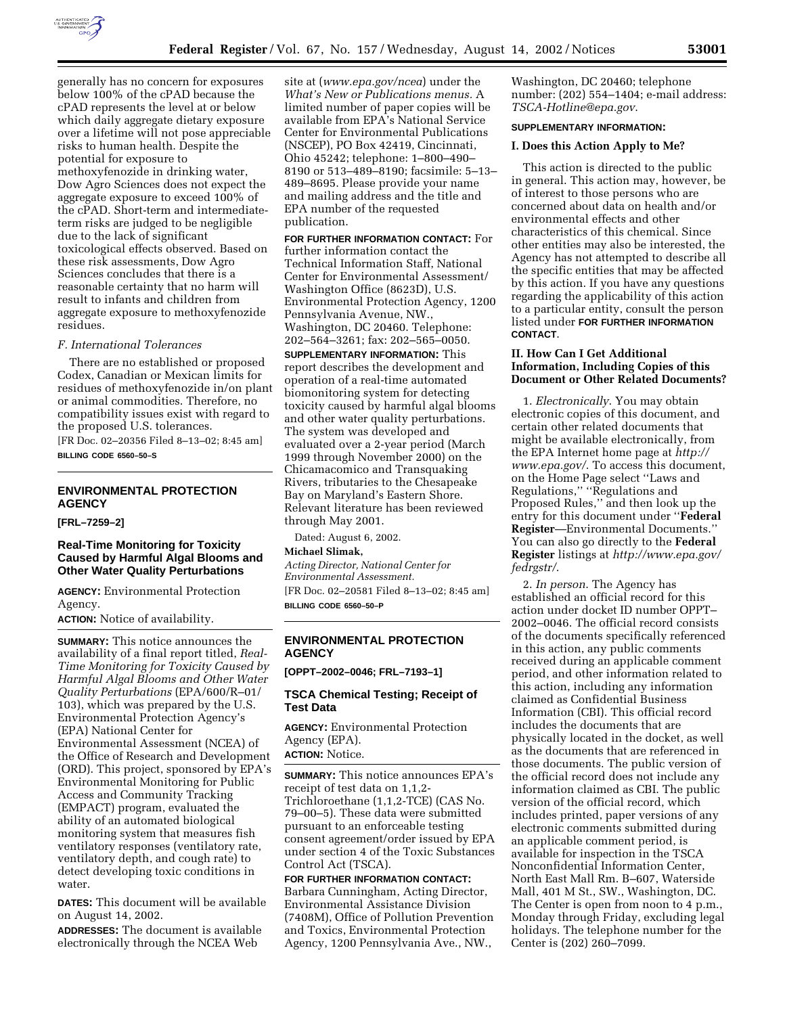

generally has no concern for exposures below 100% of the cPAD because the cPAD represents the level at or below which daily aggregate dietary exposure over a lifetime will not pose appreciable risks to human health. Despite the potential for exposure to methoxyfenozide in drinking water, Dow Agro Sciences does not expect the aggregate exposure to exceed 100% of the cPAD. Short-term and intermediateterm risks are judged to be negligible due to the lack of significant toxicological effects observed. Based on these risk assessments, Dow Agro Sciences concludes that there is a reasonable certainty that no harm will result to infants and children from aggregate exposure to methoxyfenozide residues.

## *F. International Tolerances*

There are no established or proposed Codex, Canadian or Mexican limits for residues of methoxyfenozide in/on plant or animal commodities. Therefore, no compatibility issues exist with regard to the proposed U.S. tolerances. [FR Doc. 02–20356 Filed 8–13–02; 8:45 am]

**BILLING CODE 6560–50–S**

# **ENVIRONMENTAL PROTECTION AGENCY**

#### **[FRL–7259–2]**

## **Real-Time Monitoring for Toxicity Caused by Harmful Algal Blooms and Other Water Quality Perturbations**

**AGENCY:** Environmental Protection Agency.

**ACTION:** Notice of availability.

**SUMMARY:** This notice announces the availability of a final report titled, *Real-Time Monitoring for Toxicity Caused by Harmful Algal Blooms and Other Water Quality Perturbations* (EPA/600/R–01/ 103), which was prepared by the U.S. Environmental Protection Agency's (EPA) National Center for Environmental Assessment (NCEA) of the Office of Research and Development (ORD). This project, sponsored by EPA's Environmental Monitoring for Public Access and Community Tracking (EMPACT) program, evaluated the ability of an automated biological monitoring system that measures fish ventilatory responses (ventilatory rate, ventilatory depth, and cough rate) to detect developing toxic conditions in water.

**DATES:** This document will be available on August 14, 2002.

**ADDRESSES:** The document is available electronically through the NCEA Web

site at (*www.epa.gov/ncea*) under the *What's New or Publications menus.* A limited number of paper copies will be available from EPA's National Service Center for Environmental Publications (NSCEP), PO Box 42419, Cincinnati, Ohio 45242; telephone: 1–800–490– 8190 or 513–489–8190; facsimile: 5–13– 489–8695. Please provide your name and mailing address and the title and EPA number of the requested publication.

# **FOR FURTHER INFORMATION CONTACT:** For

further information contact the Technical Information Staff, National Center for Environmental Assessment/ Washington Office (8623D), U.S. Environmental Protection Agency, 1200 Pennsylvania Avenue, NW., Washington, DC 20460. Telephone: 202–564–3261; fax: 202–565–0050.

**SUPPLEMENTARY INFORMATION:** This report describes the development and operation of a real-time automated biomonitoring system for detecting toxicity caused by harmful algal blooms and other water quality perturbations. The system was developed and evaluated over a 2-year period (March 1999 through November 2000) on the Chicamacomico and Transquaking Rivers, tributaries to the Chesapeake Bay on Maryland's Eastern Shore. Relevant literature has been reviewed through May 2001.

Dated: August 6, 2002.

## **Michael Slimak,**

*Acting Director, National Center for Environmental Assessment.* [FR Doc. 02–20581 Filed 8–13–02; 8:45 am] **BILLING CODE 6560–50–P**

## **ENVIRONMENTAL PROTECTION AGENCY**

**[OPPT–2002–0046; FRL–7193–1]** 

## **TSCA Chemical Testing; Receipt of Test Data**

**AGENCY:** Environmental Protection Agency (EPA).

**ACTION:** Notice.

**SUMMARY:** This notice announces EPA's receipt of test data on 1,1,2- Trichloroethane (1,1,2-TCE) (CAS No. 79–00–5). These data were submitted pursuant to an enforceable testing consent agreement/order issued by EPA under section 4 of the Toxic Substances Control Act (TSCA).

**FOR FURTHER INFORMATION CONTACT:** Barbara Cunningham, Acting Director, Environmental Assistance Division (7408M), Office of Pollution Prevention and Toxics, Environmental Protection Agency, 1200 Pennsylvania Ave., NW.,

Washington, DC 20460; telephone number: (202) 554–1404; e-mail address: *TSCA-Hotline@epa.gov*.

#### **SUPPLEMENTARY INFORMATION:**

#### **I. Does this Action Apply to Me?**

This action is directed to the public in general. This action may, however, be of interest to those persons who are concerned about data on health and/or environmental effects and other characteristics of this chemical. Since other entities may also be interested, the Agency has not attempted to describe all the specific entities that may be affected by this action. If you have any questions regarding the applicability of this action to a particular entity, consult the person listed under **FOR FURTHER INFORMATION CONTACT**.

## **II. How Can I Get Additional Information, Including Copies of this Document or Other Related Documents?**

1. *Electronically*. You may obtain electronic copies of this document, and certain other related documents that might be available electronically, from the EPA Internet home page at *http:// www.epa.gov/*. To access this document, on the Home Page select ''Laws and Regulations,'' ''Regulations and Proposed Rules,'' and then look up the entry for this document under ''**Federal Register**—Environmental Documents.'' You can also go directly to the **Federal Register** listings at *http://www.epa.gov/ fedrgstr/*.

2. *In person*. The Agency has established an official record for this action under docket ID number OPPT– 2002–0046. The official record consists of the documents specifically referenced in this action, any public comments received during an applicable comment period, and other information related to this action, including any information claimed as Confidential Business Information (CBI). This official record includes the documents that are physically located in the docket, as well as the documents that are referenced in those documents. The public version of the official record does not include any information claimed as CBI. The public version of the official record, which includes printed, paper versions of any electronic comments submitted during an applicable comment period, is available for inspection in the TSCA Nonconfidential Information Center, North East Mall Rm. B–607, Waterside Mall, 401 M St., SW., Washington, DC. The Center is open from noon to 4 p.m., Monday through Friday, excluding legal holidays. The telephone number for the Center is (202) 260–7099.